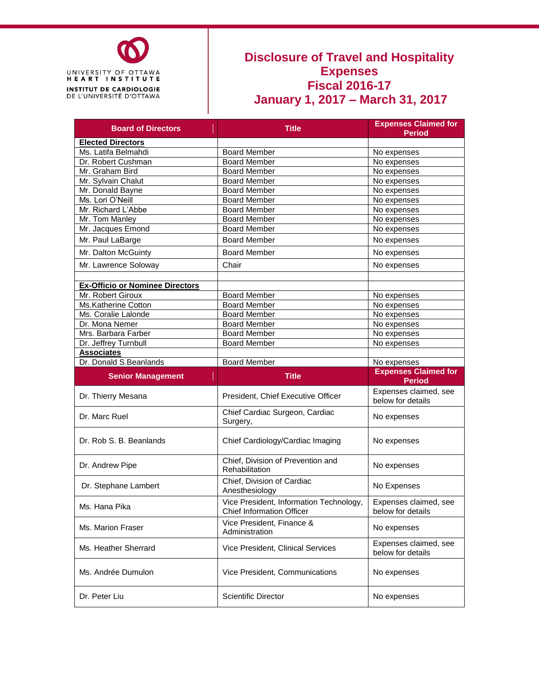

### **Disclosure of Travel and Hospitality Expenses Fiscal 2016-17 January 1, 2017 – March 31, 2017**

| <b>Board of Directors</b>              | <b>Title</b>                                                         | <b>Expenses Claimed for</b><br><b>Period</b>                |
|----------------------------------------|----------------------------------------------------------------------|-------------------------------------------------------------|
| <b>Elected Directors</b>               |                                                                      |                                                             |
| Ms. Latifa Belmahdi                    | <b>Board Member</b>                                                  | No expenses                                                 |
| Dr. Robert Cushman                     | <b>Board Member</b>                                                  | No expenses                                                 |
| Mr. Graham Bird                        | <b>Board Member</b>                                                  | No expenses                                                 |
| Mr. Sylvain Chalut                     | <b>Board Member</b>                                                  | No expenses                                                 |
| Mr. Donald Bayne                       | <b>Board Member</b>                                                  | No expenses                                                 |
| Ms. Lori O'Neill                       | <b>Board Member</b>                                                  | No expenses                                                 |
| Mr. Richard L'Abbe                     | <b>Board Member</b>                                                  | No expenses                                                 |
| Mr. Tom Manley                         | <b>Board Member</b>                                                  | No expenses                                                 |
| Mr. Jacques Emond                      | <b>Board Member</b>                                                  | No expenses                                                 |
| Mr. Paul LaBarge                       | <b>Board Member</b>                                                  | No expenses                                                 |
| Mr. Dalton McGuinty                    | <b>Board Member</b>                                                  | No expenses                                                 |
| Mr. Lawrence Soloway                   | Chair                                                                | No expenses                                                 |
|                                        |                                                                      |                                                             |
| <b>Ex-Officio or Nominee Directors</b> |                                                                      |                                                             |
| Mr. Robert Giroux                      | <b>Board Member</b>                                                  | No expenses                                                 |
| Ms.Katherine Cotton                    | <b>Board Member</b>                                                  | No expenses                                                 |
| Ms. Coralie Lalonde                    | <b>Board Member</b>                                                  | No expenses                                                 |
| Dr. Mona Nemer                         | <b>Board Member</b>                                                  | No expenses                                                 |
| Mrs. Barbara Farber                    | <b>Board Member</b>                                                  | No expenses                                                 |
| Dr. Jeffrey Turnbull                   | <b>Board Member</b>                                                  | No expenses                                                 |
| <b>Associates</b>                      |                                                                      |                                                             |
|                                        | <b>Board Member</b>                                                  | No expenses                                                 |
| Dr. Donald S.Beanlands                 |                                                                      |                                                             |
| <b>Senior Management</b>               | <b>Title</b>                                                         | <b>Expenses Claimed for</b>                                 |
| Dr. Thierry Mesana                     | President, Chief Executive Officer                                   | <b>Period</b><br>Expenses claimed, see<br>below for details |
| Dr. Marc Ruel                          | Chief Cardiac Surgeon, Cardiac<br>Surgery,                           | No expenses                                                 |
| Dr. Rob S. B. Beanlands                | Chief Cardiology/Cardiac Imaging                                     | No expenses                                                 |
| Dr. Andrew Pipe                        | Chief, Division of Prevention and<br>Rehabilitation                  | No expenses                                                 |
| Dr. Stephane Lambert                   | Chief, Division of Cardiac<br>Anesthesiology                         | No Expenses                                                 |
| Ms. Hana Pika                          | Vice President, Information Technology,<br>Chief Information Officer | Expenses claimed, see<br>below for details                  |
| Ms. Marion Fraser                      | Vice President, Finance &<br>Administration                          | No expenses                                                 |
| Ms. Heather Sherrard                   | Vice President, Clinical Services                                    | Expenses claimed, see<br>below for details                  |
| Ms. Andrée Dumulon                     | Vice President, Communications                                       | No expenses                                                 |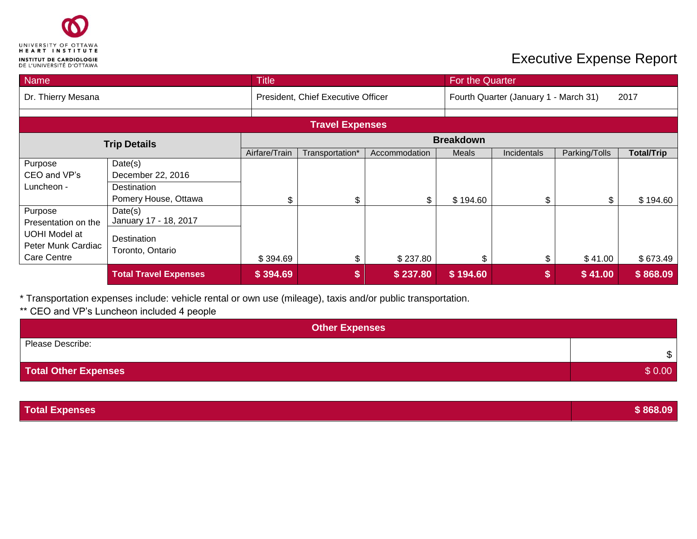

### **Executive Expense Report**

| Name                |                                    | <b>Title</b>     |                        |                                               | For the Quarter |             |               |                   |
|---------------------|------------------------------------|------------------|------------------------|-----------------------------------------------|-----------------|-------------|---------------|-------------------|
| Dr. Thierry Mesana  | President, Chief Executive Officer |                  |                        | Fourth Quarter (January 1 - March 31)<br>2017 |                 |             |               |                   |
|                     |                                    |                  | <b>Travel Expenses</b> |                                               |                 |             |               |                   |
| <b>Trip Details</b> |                                    | <b>Breakdown</b> |                        |                                               |                 |             |               |                   |
|                     |                                    | Airfare/Train    | Transportation*        | Accommodation                                 | <b>Meals</b>    | Incidentals | Parking/Tolls | <b>Total/Trip</b> |
| Purpose             | Date(s)                            |                  |                        |                                               |                 |             |               |                   |
| CEO and VP's        | December 22, 2016                  |                  |                        |                                               |                 |             |               |                   |
| Luncheon -          | <b>Destination</b>                 |                  |                        |                                               |                 |             |               |                   |
|                     | Pomery House, Ottawa               | \$               | \$                     | \$                                            | \$194.60        | \$          | \$            | \$194.60          |
| Purpose             | Date(s)                            |                  |                        |                                               |                 |             |               |                   |
| Presentation on the | January 17 - 18, 2017              |                  |                        |                                               |                 |             |               |                   |
| UOHI Model at       | Destination                        |                  |                        |                                               |                 |             |               |                   |
| Peter Munk Cardiac  | Toronto, Ontario                   |                  |                        |                                               |                 |             |               |                   |
| <b>Care Centre</b>  |                                    | \$394.69         | \$                     | \$237.80                                      | \$              | \$          | \$41.00       | \$673.49          |
|                     | <b>Total Travel Expenses</b>       | \$394.69         | \$                     | \$237.80                                      | \$194.60        | \$          | \$41.00       | \$868.09          |

\* Transportation expenses include: vehicle rental or own use (mileage), taxis and/or public transportation.

#### \*\* CEO and VP's Luncheon included 4 people

| <b>Other Expenses</b>       |              |
|-----------------------------|--------------|
| Please Describe:            | $\mathbb{S}$ |
| <b>Total Other Expenses</b> | \$0.00       |

| <b>Total Expenses</b> | 868.09 |
|-----------------------|--------|
|                       |        |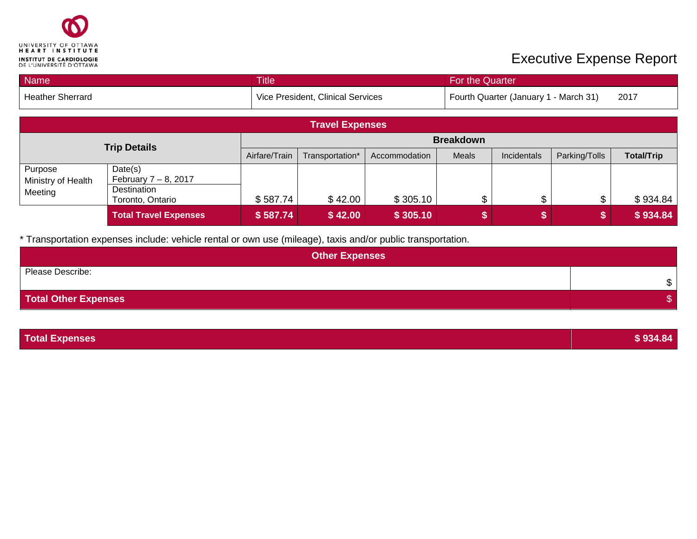

# **Executive Expense Report**

| Name                                     |                                                                       | <b>Title</b><br>For the Quarter |                                   |               |       |                                       |               |                   |
|------------------------------------------|-----------------------------------------------------------------------|---------------------------------|-----------------------------------|---------------|-------|---------------------------------------|---------------|-------------------|
| <b>Heather Sherrard</b>                  |                                                                       |                                 | Vice President, Clinical Services |               |       | Fourth Quarter (January 1 - March 31) |               | 2017              |
| <b>Travel Expenses</b>                   |                                                                       |                                 |                                   |               |       |                                       |               |                   |
| <b>Trip Details</b>                      |                                                                       |                                 | <b>Breakdown</b>                  |               |       |                                       |               |                   |
|                                          |                                                                       | Airfare/Train                   | Transportation*                   | Accommodation | Meals | Incidentals                           | Parking/Tolls | <b>Total/Trip</b> |
| Purpose<br>Ministry of Health<br>Meeting | Date(s)<br>February $7 - 8$ , 2017<br>Destination<br>Toronto, Ontario | \$587.74                        | \$42.00                           | \$305.10      |       | \$                                    | \$            | \$934.84          |
|                                          | <b>Total Travel Expenses</b>                                          | \$587.74                        | \$42.00                           | \$305.10      |       |                                       |               | \$934.84          |

\* Transportation expenses include: vehicle rental or own use (mileage), taxis and/or public transportation.

| <b>Other Expenses</b> |    |  |  |  |
|-----------------------|----|--|--|--|
| Please Describe:      | \$ |  |  |  |
| Total Other Expenses  |    |  |  |  |

| <b>Total Expenses</b> | \$934.84 |
|-----------------------|----------|
|                       |          |